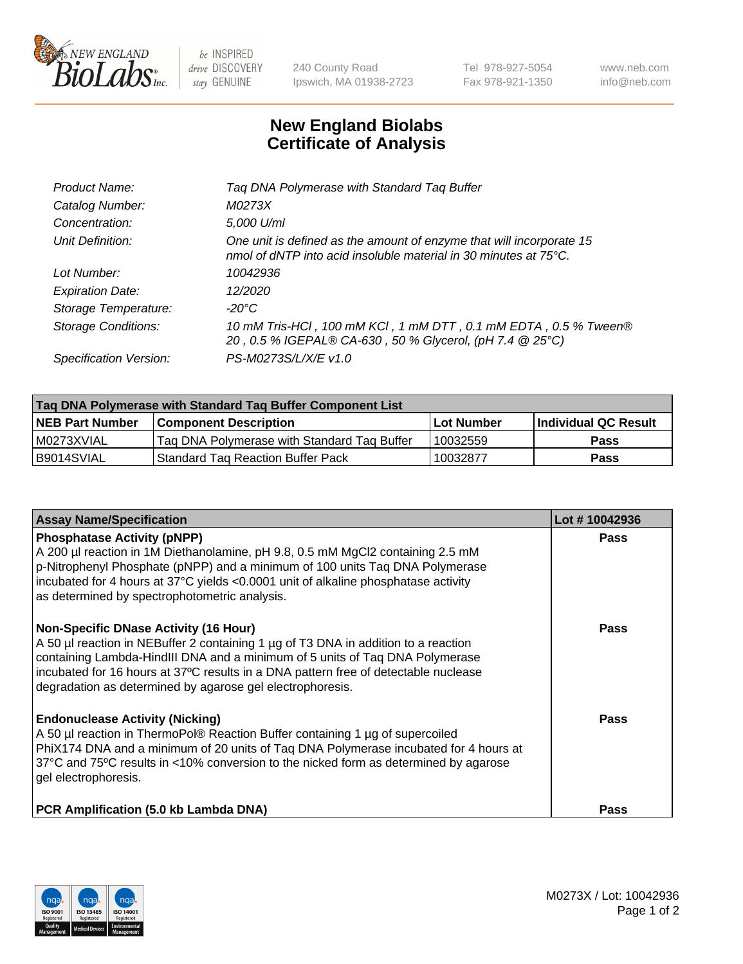

 $be$  INSPIRED drive DISCOVERY stay GENUINE

240 County Road Ipswich, MA 01938-2723 Tel 978-927-5054 Fax 978-921-1350 www.neb.com info@neb.com

## **New England Biolabs Certificate of Analysis**

| Tag DNA Polymerase with Standard Tag Buffer                                                                                              |
|------------------------------------------------------------------------------------------------------------------------------------------|
| M0273X                                                                                                                                   |
| 5,000 U/ml                                                                                                                               |
| One unit is defined as the amount of enzyme that will incorporate 15<br>nmol of dNTP into acid insoluble material in 30 minutes at 75°C. |
| 10042936                                                                                                                                 |
| 12/2020                                                                                                                                  |
| $-20^{\circ}$ C                                                                                                                          |
| 10 mM Tris-HCl, 100 mM KCl, 1 mM DTT, 0.1 mM EDTA, 0.5 % Tween®<br>20, 0.5 % IGEPAL® CA-630, 50 % Glycerol, (pH 7.4 @ 25°C)              |
| PS-M0273S/L/X/E v1.0                                                                                                                     |
|                                                                                                                                          |

| Tag DNA Polymerase with Standard Tag Buffer Component List |                                             |                   |                      |  |
|------------------------------------------------------------|---------------------------------------------|-------------------|----------------------|--|
| <b>NEB Part Number</b>                                     | <b>Component Description</b>                | <b>Lot Number</b> | Individual QC Result |  |
| M0273XVIAL                                                 | Tag DNA Polymerase with Standard Tag Buffer | 10032559          | <b>Pass</b>          |  |
| B9014SVIAL                                                 | <b>Standard Tag Reaction Buffer Pack</b>    | 10032877          | <b>Pass</b>          |  |

| <b>Assay Name/Specification</b>                                                                                                                                                                                                                                                                                                                                        | Lot #10042936 |
|------------------------------------------------------------------------------------------------------------------------------------------------------------------------------------------------------------------------------------------------------------------------------------------------------------------------------------------------------------------------|---------------|
| <b>Phosphatase Activity (pNPP)</b><br>A 200 µl reaction in 1M Diethanolamine, pH 9.8, 0.5 mM MgCl2 containing 2.5 mM<br>p-Nitrophenyl Phosphate (pNPP) and a minimum of 100 units Taq DNA Polymerase<br>incubated for 4 hours at 37°C yields <0.0001 unit of alkaline phosphatase activity<br>as determined by spectrophotometric analysis.                            | Pass          |
| <b>Non-Specific DNase Activity (16 Hour)</b><br>A 50 µl reaction in NEBuffer 2 containing 1 µg of T3 DNA in addition to a reaction<br>containing Lambda-HindIII DNA and a minimum of 5 units of Taq DNA Polymerase<br>incubated for 16 hours at 37°C results in a DNA pattern free of detectable nuclease<br>degradation as determined by agarose gel electrophoresis. | Pass          |
| <b>Endonuclease Activity (Nicking)</b><br>A 50 µl reaction in ThermoPol® Reaction Buffer containing 1 µg of supercoiled<br>PhiX174 DNA and a minimum of 20 units of Tag DNA Polymerase incubated for 4 hours at<br>37°C and 75°C results in <10% conversion to the nicked form as determined by agarose<br>gel electrophoresis.                                        | Pass          |
| PCR Amplification (5.0 kb Lambda DNA)                                                                                                                                                                                                                                                                                                                                  | Pass          |